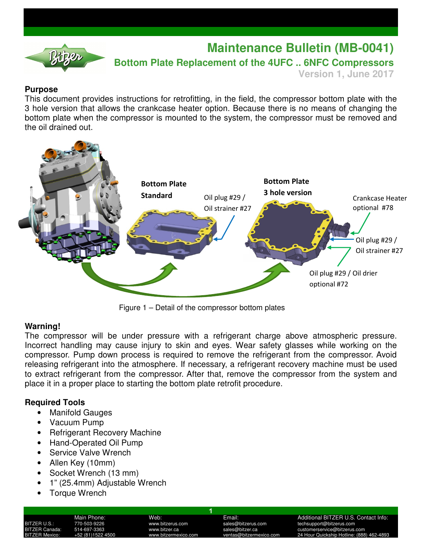

# **Maintenance Bulletin (MB-0041)**

**Bottom Plate Replacement of the 4UFC .. 6NFC Compressors** 

**Version 1, June 2017**

## **Purpose**

This document provides instructions for retrofitting, in the field, the compressor bottom plate with the 3 hole version that allows the crankcase heater option. Because there is no means of changing the bottom plate when the compressor is mounted to the system, the compressor must be removed and the oil drained out.



Figure 1 – Detail of the compressor bottom plates

#### **Warning!**

The compressor will be under pressure with a refrigerant charge above atmospheric pressure. Incorrect handling may cause injury to skin and eyes. Wear safety glasses while working on the compressor. Pump down process is required to remove the refrigerant from the compressor. Avoid releasing refrigerant into the atmosphere. If necessary, a refrigerant recovery machine must be used to extract refrigerant from the compressor. After that, remove the compressor from the system and place it in a proper place to starting the bottom plate retrofit procedure.

1

## **Required Tools**

- **Manifold Gauges**
- Vacuum Pump
- Refrigerant Recovery Machine
- Hand-Operated Oil Pump
- Service Valve Wrench
- Allen Key (10mm)
- Socket Wrench (13 mm)
- 1" (25.4mm) Adjustable Wrench
- **Torque Wrench**

Main Phone: Web: Web: Email: Email: Additional BITZER U.S. Contact Info:<br>1991 - TZER U.S.: 770-503-9226 www.bitzerus.com sales@bitzerus.com techsupport@bitzerus.com BITZER U.S.: 770-503-9226 www.bitzerus.com sales@bitzerus.com techsupport@bitzerus.com customerservice@bitzerus.com 24 Hour Quickship Hotline: (888) 462-